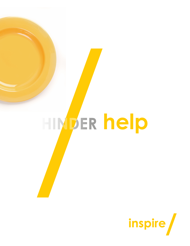

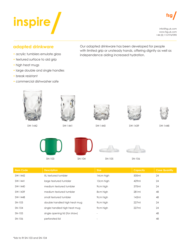

info@fsg.uk.com www.fsg.uk.com +44 (0) 115 9767090

## **adapted drinkware**

- acrylic tumblers emulate glass
- textured surface to aid grip
- high heat mugs
- large double and single handles
- break resistant
- commercial dishwasher safe

Our adapted drinkware has been developed for people with limited grip or unsteady hands, offering dignity as well as independence aiding increased hydration.



|          | <b>DESCRIPTION</b>             | <b>UILU</b>              | <b>Cupucity</b> | <b>CASE COMING</b> |
|----------|--------------------------------|--------------------------|-----------------|--------------------|
| SW-1442  | XL textured tumbler            | 14cm high                | 500ml           | 24                 |
| SW-1441  | large textured tumbler         | 13cm high                | 429ml           | 24                 |
| SW-1440  | medium textured tumbler        | 9cm high                 | 370ml           | 24                 |
| SW-1439  | medium textured tumbler        | 8cm high                 | 281ml           | 48                 |
| SW-1448  | small textured tumbler         | 9cm high                 | 142ml           | 48                 |
| SN-103   | double handled high heat mug   | 9cm high                 | 227ml           | 24                 |
| $SN-104$ | single handled high heat mug   | 9cm high                 | 227ml           | 24                 |
| SN-105   | single opening lid (for straw) | $\overline{\phantom{a}}$ |                 | 48                 |
| SN-106   | perforated lid                 | $\overline{\phantom{a}}$ |                 | 48                 |